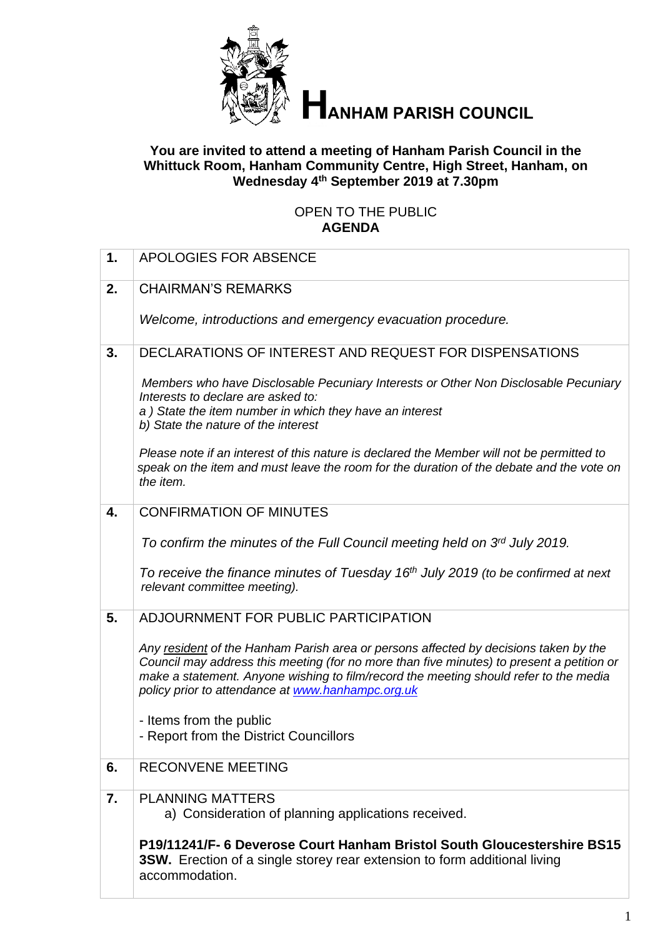

# **HANHAM PARISH COUNCIL**

## **You are invited to attend a meeting of Hanham Parish Council in the Whittuck Room, Hanham Community Centre, High Street, Hanham, on Wednesday 4 th September 2019 at 7.30pm**

## OPEN TO THE PUBLIC **AGENDA**

| 1. | APOLOGIES FOR ABSENCE                                                                                                                                                                                                                                                                                                           |
|----|---------------------------------------------------------------------------------------------------------------------------------------------------------------------------------------------------------------------------------------------------------------------------------------------------------------------------------|
| 2. | <b>CHAIRMAN'S REMARKS</b>                                                                                                                                                                                                                                                                                                       |
|    | Welcome, introductions and emergency evacuation procedure.                                                                                                                                                                                                                                                                      |
| 3. | DECLARATIONS OF INTEREST AND REQUEST FOR DISPENSATIONS                                                                                                                                                                                                                                                                          |
|    | Members who have Disclosable Pecuniary Interests or Other Non Disclosable Pecuniary<br>Interests to declare are asked to:<br>a) State the item number in which they have an interest<br>b) State the nature of the interest                                                                                                     |
|    | Please note if an interest of this nature is declared the Member will not be permitted to<br>speak on the item and must leave the room for the duration of the debate and the vote on<br>the item.                                                                                                                              |
| 4. | <b>CONFIRMATION OF MINUTES</b>                                                                                                                                                                                                                                                                                                  |
|    | To confirm the minutes of the Full Council meeting held on 3rd July 2019.<br>To receive the finance minutes of Tuesday 16 <sup>th</sup> July 2019 (to be confirmed at next<br>relevant committee meeting).                                                                                                                      |
| 5. | ADJOURNMENT FOR PUBLIC PARTICIPATION                                                                                                                                                                                                                                                                                            |
|    | Any resident of the Hanham Parish area or persons affected by decisions taken by the<br>Council may address this meeting (for no more than five minutes) to present a petition or<br>make a statement. Anyone wishing to film/record the meeting should refer to the media<br>policy prior to attendance at www.hanhampc.org.uk |
|    | - Items from the public<br>- Report from the District Councillors                                                                                                                                                                                                                                                               |
| 6. | <b>RECONVENE MEETING</b>                                                                                                                                                                                                                                                                                                        |
| 7. | <b>PLANNING MATTERS</b><br>a) Consideration of planning applications received.                                                                                                                                                                                                                                                  |
|    | P19/11241/F- 6 Deverose Court Hanham Bristol South Gloucestershire BS15<br><b>3SW.</b> Erection of a single storey rear extension to form additional living<br>accommodation.                                                                                                                                                   |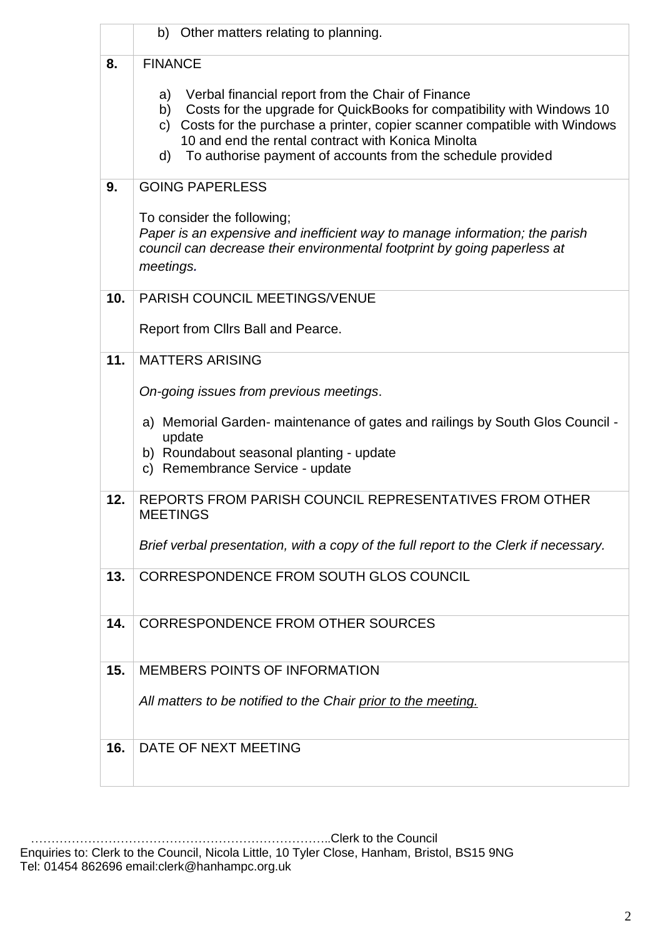|     | b) Other matters relating to planning.                                                                                                                                                                                                                                                                                                                         |
|-----|----------------------------------------------------------------------------------------------------------------------------------------------------------------------------------------------------------------------------------------------------------------------------------------------------------------------------------------------------------------|
| 8.  | <b>FINANCE</b>                                                                                                                                                                                                                                                                                                                                                 |
|     | Verbal financial report from the Chair of Finance<br>a)<br>Costs for the upgrade for QuickBooks for compatibility with Windows 10<br>b)<br>Costs for the purchase a printer, copier scanner compatible with Windows<br>$\mathsf{C}$<br>10 and end the rental contract with Konica Minolta<br>To authorise payment of accounts from the schedule provided<br>d) |
| 9.  | <b>GOING PAPERLESS</b>                                                                                                                                                                                                                                                                                                                                         |
|     | To consider the following;<br>Paper is an expensive and inefficient way to manage information; the parish<br>council can decrease their environmental footprint by going paperless at<br>meetings.                                                                                                                                                             |
| 10. | <b>PARISH COUNCIL MEETINGS/VENUE</b>                                                                                                                                                                                                                                                                                                                           |
|     | Report from Cllrs Ball and Pearce.                                                                                                                                                                                                                                                                                                                             |
| 11. | <b>MATTERS ARISING</b>                                                                                                                                                                                                                                                                                                                                         |
|     | On-going issues from previous meetings.                                                                                                                                                                                                                                                                                                                        |
|     | a) Memorial Garden- maintenance of gates and railings by South Glos Council -<br>update<br>b) Roundabout seasonal planting - update<br>c) Remembrance Service - update                                                                                                                                                                                         |
| 12. | REPORTS FROM PARISH COUNCIL REPRESENTATIVES FROM OTHER<br><b>MEETINGS</b>                                                                                                                                                                                                                                                                                      |
|     | Brief verbal presentation, with a copy of the full report to the Clerk if necessary.                                                                                                                                                                                                                                                                           |
| 13. | CORRESPONDENCE FROM SOUTH GLOS COUNCIL                                                                                                                                                                                                                                                                                                                         |
| 14. | <b>CORRESPONDENCE FROM OTHER SOURCES</b>                                                                                                                                                                                                                                                                                                                       |
| 15. | <b>MEMBERS POINTS OF INFORMATION</b>                                                                                                                                                                                                                                                                                                                           |
|     |                                                                                                                                                                                                                                                                                                                                                                |
|     | All matters to be notified to the Chair prior to the meeting.                                                                                                                                                                                                                                                                                                  |
| 16. | DATE OF NEXT MEETING                                                                                                                                                                                                                                                                                                                                           |
|     |                                                                                                                                                                                                                                                                                                                                                                |